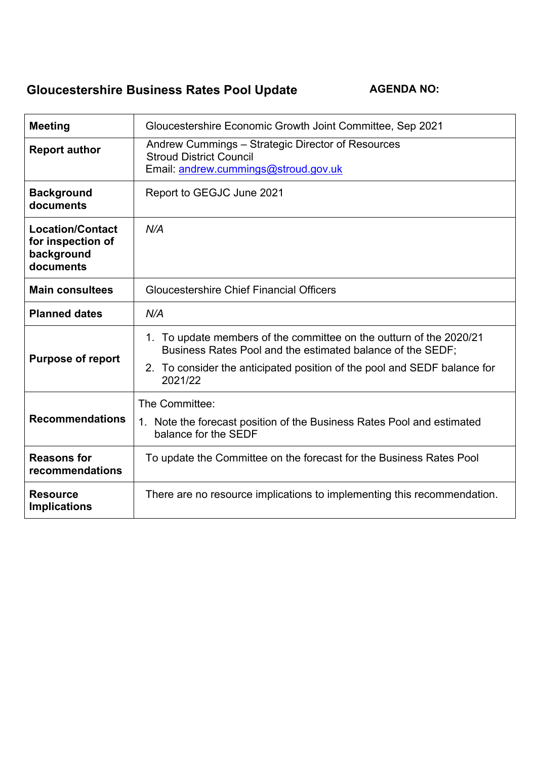# **Gloucestershire Business Rates Pool Update AGENDA NO:**

| Meeting                                                                 | Gloucestershire Economic Growth Joint Committee, Sep 2021                                                                                                                                                                |  |  |  |
|-------------------------------------------------------------------------|--------------------------------------------------------------------------------------------------------------------------------------------------------------------------------------------------------------------------|--|--|--|
| <b>Report author</b>                                                    | Andrew Cummings – Strategic Director of Resources<br><b>Stroud District Council</b><br>Email: andrew.cummings@stroud.gov.uk                                                                                              |  |  |  |
| <b>Background</b><br>documents                                          | Report to GEGJC June 2021                                                                                                                                                                                                |  |  |  |
| <b>Location/Contact</b><br>for inspection of<br>background<br>documents | N/A                                                                                                                                                                                                                      |  |  |  |
| <b>Main consultees</b>                                                  | <b>Gloucestershire Chief Financial Officers</b>                                                                                                                                                                          |  |  |  |
| <b>Planned dates</b>                                                    | N/A                                                                                                                                                                                                                      |  |  |  |
| <b>Purpose of report</b>                                                | 1. To update members of the committee on the outturn of the 2020/21<br>Business Rates Pool and the estimated balance of the SEDF;<br>2. To consider the anticipated position of the pool and SEDF balance for<br>2021/22 |  |  |  |
| <b>Recommendations</b>                                                  | The Committee:<br>1. Note the forecast position of the Business Rates Pool and estimated<br>balance for the SEDF                                                                                                         |  |  |  |
| <b>Reasons for</b><br>recommendations                                   | To update the Committee on the forecast for the Business Rates Pool                                                                                                                                                      |  |  |  |
| <b>Resource</b><br><b>Implications</b>                                  | There are no resource implications to implementing this recommendation.                                                                                                                                                  |  |  |  |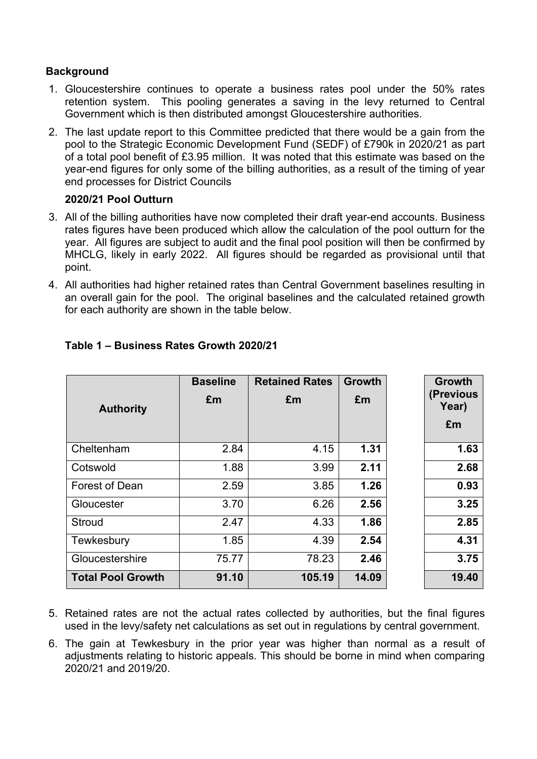## **Background**

- 1. Gloucestershire continues to operate a business rates pool under the 50% rates retention system. This pooling generates a saving in the levy returned to Central Government which is then distributed amongst Gloucestershire authorities.
- 2. The last update report to this Committee predicted that there would be a gain from the pool to the Strategic Economic Development Fund (SEDF) of £790k in 2020/21 as part of a total pool benefit of £3.95 million. It was noted that this estimate was based on the year-end figures for only some of the billing authorities, as a result of the timing of year end processes for District Councils

## **2020/21 Pool Outturn**

- 3. All of the billing authorities have now completed their draft year-end accounts. Business rates figures have been produced which allow the calculation of the pool outturn for the year. All figures are subject to audit and the final pool position will then be confirmed by MHCLG, likely in early 2022. All figures should be regarded as provisional until that point.
- 4. All authorities had higher retained rates than Central Government baselines resulting in an overall gain for the pool. The original baselines and the calculated retained growth for each authority are shown in the table below.

| <b>Authority</b>         | <b>Baseline</b><br>£m | <b>Retained Rates</b><br>£m | <b>Growth</b><br>£m | <b>Growth</b><br>(Previous<br>Year)<br>£m |
|--------------------------|-----------------------|-----------------------------|---------------------|-------------------------------------------|
| Cheltenham               | 2.84                  | 4.15                        | 1.31                | 1.63                                      |
| Cotswold                 | 1.88                  | 3.99                        | 2.11                | 2.68                                      |
| Forest of Dean           | 2.59                  | 3.85                        | 1.26                | 0.93                                      |
| Gloucester               | 3.70                  | 6.26                        | 2.56                | 3.25                                      |
| <b>Stroud</b>            | 2.47                  | 4.33                        | 1.86                | 2.85                                      |
| Tewkesbury               | 1.85                  | 4.39                        | 2.54                | 4.31                                      |
| Gloucestershire          | 75.77                 | 78.23                       | 2.46                | 3.75                                      |
| <b>Total Pool Growth</b> | 91.10                 | 105.19                      | 14.09               | 19.40                                     |

## **Table 1 – Business Rates Growth 2020/21**

5. Retained rates are not the actual rates collected by authorities, but the final figures used in the levy/safety net calculations as set out in regulations by central government.

6. The gain at Tewkesbury in the prior year was higher than normal as a result of adjustments relating to historic appeals. This should be borne in mind when comparing 2020/21 and 2019/20.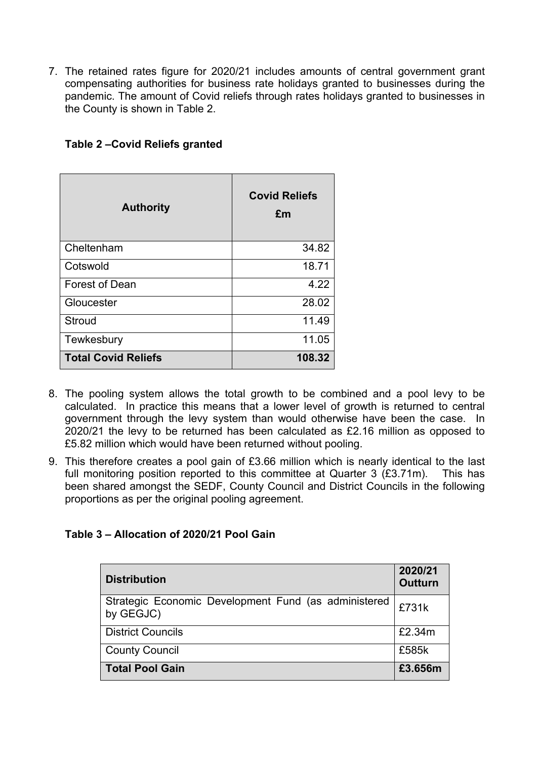7. The retained rates figure for 2020/21 includes amounts of central government grant compensating authorities for business rate holidays granted to businesses during the pandemic. The amount of Covid reliefs through rates holidays granted to businesses in the County is shown in Table 2.

| <b>Authority</b>           | <b>Covid Reliefs</b><br>£m |  |  |
|----------------------------|----------------------------|--|--|
| Cheltenham                 | 34.82                      |  |  |
| Cotswold                   | 18.71                      |  |  |
| <b>Forest of Dean</b>      | 4.22                       |  |  |
| Gloucester                 | 28.02                      |  |  |
| Stroud                     | 11.49                      |  |  |
| Tewkesbury                 | 11.05                      |  |  |
| <b>Total Covid Reliefs</b> | 108.32                     |  |  |

## **Table 2 –Covid Reliefs granted**

- 8. The pooling system allows the total growth to be combined and a pool levy to be calculated. In practice this means that a lower level of growth is returned to central government through the levy system than would otherwise have been the case. In 2020/21 the levy to be returned has been calculated as £2.16 million as opposed to £5.82 million which would have been returned without pooling.
- 9. This therefore creates a pool gain of £3.66 million which is nearly identical to the last full monitoring position reported to this committee at Quarter 3 (£3.71m). This has been shared amongst the SEDF, County Council and District Councils in the following proportions as per the original pooling agreement.

## **Table 3 – Allocation of 2020/21 Pool Gain**

| <b>Distribution</b>                                               | 2020/21<br><b>Outturn</b> |
|-------------------------------------------------------------------|---------------------------|
| Strategic Economic Development Fund (as administered<br>by GEGJC) | £731k                     |
| <b>District Councils</b>                                          | £2.34m                    |
| <b>County Council</b>                                             | £585k                     |
| <b>Total Pool Gain</b>                                            | £3.656m                   |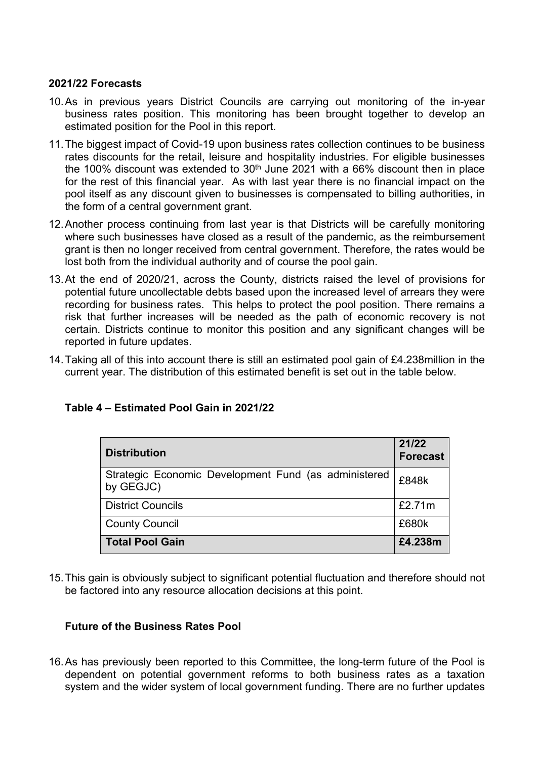#### **2021/22 Forecasts**

- 10.As in previous years District Councils are carrying out monitoring of the in-year business rates position. This monitoring has been brought together to develop an estimated position for the Pool in this report.
- 11.The biggest impact of Covid-19 upon business rates collection continues to be business rates discounts for the retail, leisure and hospitality industries. For eligible businesses the 100% discount was extended to  $30<sup>th</sup>$  June 2021 with a 66% discount then in place for the rest of this financial year. As with last year there is no financial impact on the pool itself as any discount given to businesses is compensated to billing authorities, in the form of a central government grant.
- 12.Another process continuing from last year is that Districts will be carefully monitoring where such businesses have closed as a result of the pandemic, as the reimbursement grant is then no longer received from central government. Therefore, the rates would be lost both from the individual authority and of course the pool gain.
- 13.At the end of 2020/21, across the County, districts raised the level of provisions for potential future uncollectable debts based upon the increased level of arrears they were recording for business rates. This helps to protect the pool position. There remains a risk that further increases will be needed as the path of economic recovery is not certain. Districts continue to monitor this position and any significant changes will be reported in future updates.
- 14.Taking all of this into account there is still an estimated pool gain of £4.238million in the current year. The distribution of this estimated benefit is set out in the table below.

| <b>Distribution</b>                                               | 21/22<br><b>Forecast</b> |
|-------------------------------------------------------------------|--------------------------|
| Strategic Economic Development Fund (as administered<br>by GEGJC) | £848k                    |
| <b>District Councils</b>                                          | £2.71m                   |
| <b>County Council</b>                                             | £680k                    |
| <b>Total Pool Gain</b>                                            | £4.238m                  |

## **Table 4 – Estimated Pool Gain in 2021/22**

15.This gain is obviously subject to significant potential fluctuation and therefore should not be factored into any resource allocation decisions at this point.

## **Future of the Business Rates Pool**

16.As has previously been reported to this Committee, the long-term future of the Pool is dependent on potential government reforms to both business rates as a taxation system and the wider system of local government funding. There are no further updates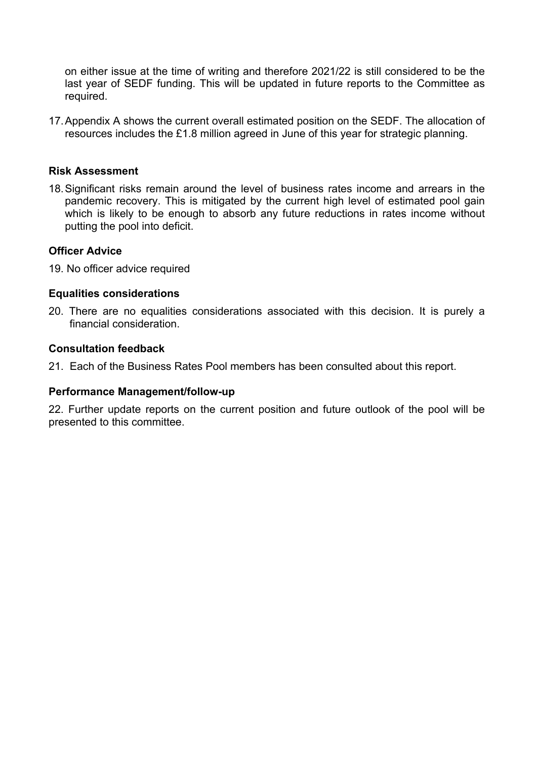on either issue at the time of writing and therefore 2021/22 is still considered to be the last year of SEDF funding. This will be updated in future reports to the Committee as required.

17.Appendix A shows the current overall estimated position on the SEDF. The allocation of resources includes the £1.8 million agreed in June of this year for strategic planning.

#### **Risk Assessment**

18.Significant risks remain around the level of business rates income and arrears in the pandemic recovery. This is mitigated by the current high level of estimated pool gain which is likely to be enough to absorb any future reductions in rates income without putting the pool into deficit.

#### **Officer Advice**

19. No officer advice required

#### **Equalities considerations**

20. There are no equalities considerations associated with this decision. It is purely a financial consideration.

#### **Consultation feedback**

21. Each of the Business Rates Pool members has been consulted about this report.

#### **Performance Management/follow-up**

22. Further update reports on the current position and future outlook of the pool will be presented to this committee.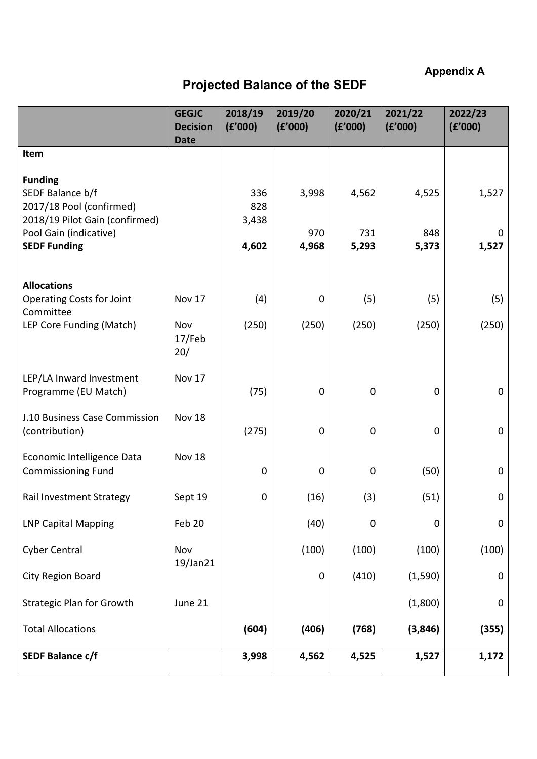**Appendix A**

## **Projected Balance of the SEDF**

|                                                                                                                                                   | <b>GEGJC</b><br><b>Decision</b><br><b>Date</b> | 2018/19<br>(E'000)           | 2019/20<br>(f'000)    | 2020/21<br>(f'000)    | 2021/22<br>(E'000)    | 2022/23<br>(E'000)  |
|---------------------------------------------------------------------------------------------------------------------------------------------------|------------------------------------------------|------------------------------|-----------------------|-----------------------|-----------------------|---------------------|
| Item                                                                                                                                              |                                                |                              |                       |                       |                       |                     |
| <b>Funding</b><br>SEDF Balance b/f<br>2017/18 Pool (confirmed)<br>2018/19 Pilot Gain (confirmed)<br>Pool Gain (indicative)<br><b>SEDF Funding</b> |                                                | 336<br>828<br>3,438<br>4,602 | 3,998<br>970<br>4,968 | 4,562<br>731<br>5,293 | 4,525<br>848<br>5,373 | 1,527<br>0<br>1,527 |
| <b>Allocations</b>                                                                                                                                |                                                |                              |                       |                       |                       |                     |
| <b>Operating Costs for Joint</b><br>Committee                                                                                                     | Nov 17                                         | (4)                          | $\mathbf 0$           | (5)                   | (5)                   | (5)                 |
| LEP Core Funding (Match)                                                                                                                          | Nov<br>17/Feb<br>20/                           | (250)                        | (250)                 | (250)                 | (250)                 | (250)               |
| LEP/LA Inward Investment<br>Programme (EU Match)                                                                                                  | Nov 17                                         | (75)                         | $\pmb{0}$             | $\mathbf 0$           | $\mathbf 0$           | $\mathbf 0$         |
| J.10 Business Case Commission<br>(contribution)                                                                                                   | <b>Nov 18</b>                                  | (275)                        | $\mathbf 0$           | $\mathbf 0$           | $\mathbf 0$           | $\mathbf 0$         |
| Economic Intelligence Data<br><b>Commissioning Fund</b>                                                                                           | Nov 18                                         | $\mathbf 0$                  | $\pmb{0}$             | $\mathbf 0$           | (50)                  | 0                   |
| Rail Investment Strategy                                                                                                                          | Sept 19                                        | $\mathbf 0$                  | (16)                  | (3)                   | (51)                  | 0                   |
| <b>LNP Capital Mapping</b>                                                                                                                        | Feb 20                                         |                              | (40)                  | $\mathbf 0$           | $\mathbf 0$           | $\mathbf 0$         |
| <b>Cyber Central</b>                                                                                                                              | Nov                                            |                              | (100)                 | (100)                 | (100)                 | (100)               |
| City Region Board                                                                                                                                 | 19/Jan21                                       |                              | $\pmb{0}$             | (410)                 | (1, 590)              | 0                   |
| <b>Strategic Plan for Growth</b>                                                                                                                  | June 21                                        |                              |                       |                       | (1,800)               | $\mathbf 0$         |
| <b>Total Allocations</b>                                                                                                                          |                                                | (604)                        | (406)                 | (768)                 | (3,846)               | (355)               |
| <b>SEDF Balance c/f</b>                                                                                                                           |                                                | 3,998                        | 4,562                 | 4,525                 | 1,527                 | 1,172               |